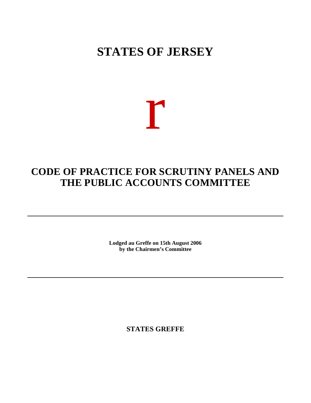# **STATES OF JERSEY**

# r

# **CODE OF PRACTICE FOR SCRUTINY PANELS AND THE PUBLIC ACCOUNTS COMMITTEE**

**Lodged au Greffe on 15th August 2006 by the Chairmen's Committee**

**STATES GREFFE**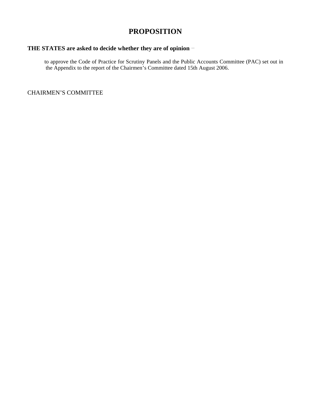# **PROPOSITION**

# **THE STATES are asked to decide whether they are of opinion**

 to approve the Code of Practice for Scrutiny Panels and the Public Accounts Committee (PAC) set out in the Appendix to the report of the Chairmen's Committee dated 15th August 2006.

CHAIRMEN'S COMMITTEE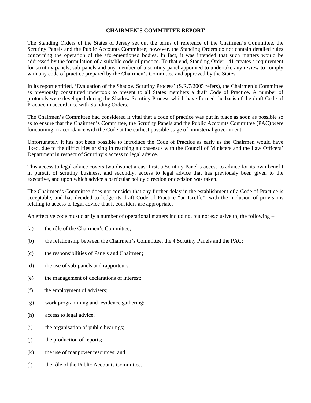#### **CHAIRMEN'S COMMITTEE REPORT**

The Standing Orders of the States of Jersey set out the terms of reference of the Chairmen's Committee, the Scrutiny Panels and the Public Accounts Committee; however, the Standing Orders do not contain detailed rules concerning the operation of the aforementioned bodies. In fact, it was intended that such matters would be addressed by the formulation of a suitable code of practice. To that end, Standing Order 141 creates a requirement for scrutiny panels, sub-panels and any member of a scrutiny panel appointed to undertake any review to comply with any code of practice prepared by the Chairmen's Committee and approved by the States.

In its report entitled, 'Evaluation of the Shadow Scrutiny Process' (S.R.7/2005 refers), the Chairmen's Committee as previously constituted undertook to present to all States members a draft Code of Practice. A number of protocols were developed during the Shadow Scrutiny Process which have formed the basis of the draft Code of Practice in accordance with Standing Orders.

The Chairmen's Committee had considered it vital that a code of practice was put in place as soon as possible so as to ensure that the Chairmen's Committee, the Scrutiny Panels and the Public Accounts Committee (PAC) were functioning in accordance with the Code at the earliest possible stage of ministerial government.

Unfortunately it has not been possible to introduce the Code of Practice as early as the Chairmen would have liked, due to the difficulties arising in reaching a consensus with the Council of Ministers and the Law Officers' Department in respect of Scrutiny's access to legal advice.

This access to legal advice covers two distinct areas: first, a Scrutiny Panel's access to advice for its own benefit in pursuit of scrutiny business, and secondly, access to legal advice that has previously been given to the executive, and upon which advice a particular policy direction or decision was taken.

The Chairmen's Committee does not consider that any further delay in the establishment of a Code of Practice is acceptable, and has decided to lodge its draft Code of Practice "au Greffe", with the inclusion of provisions relating to access to legal advice that it considers are appropriate.

An effective code must clarify a number of operational matters including, but not exclusive to, the following –

- (a) the rôle of the Chairmen's Committee;
- (b) the relationship between the Chairmen's Committee, the 4 Scrutiny Panels and the PAC;
- (c) the responsibilities of Panels and Chairmen;
- (d) the use of sub-panels and rapporteurs;
- (e) the management of declarations of interest;
- (f) the employment of advisers;
- (g) work programming and evidence gathering;
- (h) access to legal advice;
- (i) the organisation of public hearings;
- (j) the production of reports;
- (k) the use of manpower resources; and
- (l) the rôle of the Public Accounts Committee.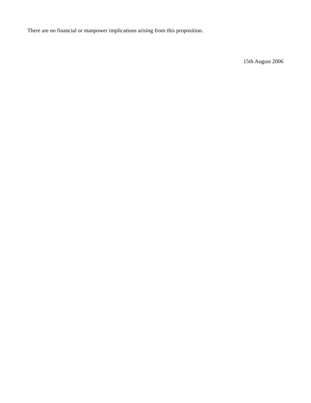There are no financial or manpower implications arising from this proposition.

15th August 2006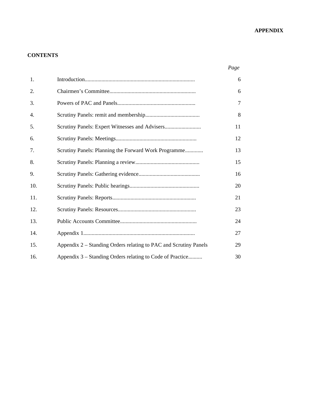# **APPENDIX**

# **CONTENTS**

|--|

| 1.  |                                                                  | 6              |
|-----|------------------------------------------------------------------|----------------|
| 2.  |                                                                  | 6              |
| 3.  |                                                                  | $\overline{7}$ |
| 4.  |                                                                  | 8              |
| 5.  |                                                                  | 11             |
| 6.  |                                                                  | 12             |
| 7.  | Scrutiny Panels: Planning the Forward Work Programme             | 13             |
| 8.  |                                                                  | 15             |
| 9.  |                                                                  | 16             |
| 10. |                                                                  | 20             |
| 11. |                                                                  | 21             |
| 12. |                                                                  | 23             |
| 13. |                                                                  | 24             |
| 14. |                                                                  | 27             |
| 15. | Appendix 2 – Standing Orders relating to PAC and Scrutiny Panels | 29             |
| 16. | Appendix 3 – Standing Orders relating to Code of Practice        | 30             |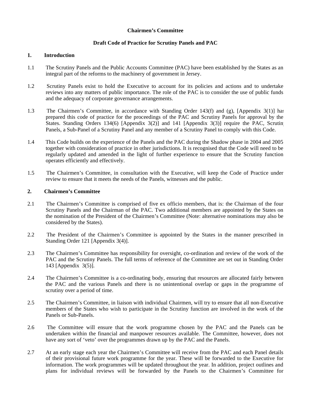#### **Chairmen's Committee**

# **Draft Code of Practice for Scrutiny Panels and PAC**

#### **1. Introduction**

- 1.1 The Scrutiny Panels and the Public Accounts Committee (PAC) have been established by the States as an integral part of the reforms to the machinery of government in Jersey.
- 1.2 Scrutiny Panels exist to hold the Executive to account for its policies and actions and to undertake reviews into any matters of public importance. The role of the PAC is to consider the use of public funds and the adequacy of corporate governance arrangements.
- 1.3 The Chairmen's Committee, in accordance with Standing Order 143(f) and (g), [Appendix 3(1)] has prepared this code of practice for the proceedings of the PAC and Scrutiny Panels for approval by the States. Standing Orders 134(6) [Appendix 3(2)] and 141 [Appendix 3(3)] require the PAC, Scrutin Panels, a Sub-Panel of a Scrutiny Panel and any member of a Scrutiny Panel to comply with this Code.
- 1.4 This Code builds on the experience of the Panels and the PAC during the Shadow phase in 2004 and 2005 together with consideration of practice in other jurisdictions. It is recognised that the Code will need to be regularly updated and amended in the light of further experience to ensure that the Scrutiny function operates efficiently and effectively.
- 1.5 The Chairmen's Committee, in consultation with the Executive, will keep the Code of Practice under review to ensure that it meets the needs of the Panels, witnesses and the public.

#### **2. Chairmen's Committee**

- 2.1 The Chairmen's Committee is comprised of five ex officio members, that is: the Chairman of the four Scrutiny Panels and the Chairman of the PAC. Two additional members are appointed by the States on the nomination of the President of the Chairmen's Committee (Note: alternative nominations may also be considered by the States).
- 2.2 The President of the Chairmen's Committee is appointed by the States in the manner prescribed in Standing Order 121 [Appendix 3(4)].
- 2.3 The Chairmen's Committee has responsibility for oversight, co-ordination and review of the work of the PAC and the Scrutiny Panels. The full terms of reference of the Committee are set out in Standing Order 143 [Appendix 3(5)].
- 2.4 The Chairmen's Committee is a co-ordinating body, ensuring that resources are allocated fairly between the PAC and the various Panels and there is no unintentional overlap or gaps in the programme of scrutiny over a period of time.
- 2.5 The Chairmen's Committee, in liaison with individual Chairmen, will try to ensure that all non-Executive members of the States who wish to participate in the Scrutiny function are involved in the work of the Panels or Sub-Panels.
- 2.6 The Committee will ensure that the work programme chosen by the PAC and the Panels can be undertaken within the financial and manpower resources available. The Committee, however, does not have any sort of 'veto' over the programmes drawn up by the PAC and the Panels.
- 2.7 At an early stage each year the Chairmen's Committee will receive from the PAC and each Panel details of their provisional future work programme for the year. These will be forwarded to the Executive for information. The work programmes will be updated throughout the year. In addition, project outlines and plans for individual reviews will be forwarded by the Panels to the Chairmen's Committee for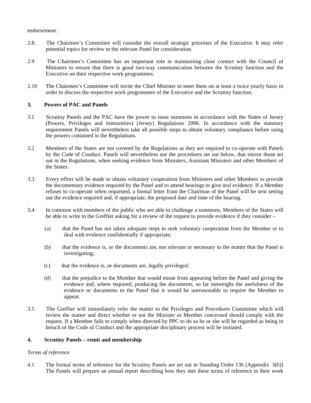#### endorsement.

- 2.8. The Chairmen's Committee will consider the overall strategic priorities of the Executive. It may refer potential topics for review to the relevant Panel for consideration.
- 2.9 The Chairmen's Committee has an important role in maintaining close contact with the Council of Ministers to ensure that there is good two-way communication between the Scrutiny function and the Executive on their respective work programmes.
- 2.10 The Chairmen's Committee will invite the Chief Minister to meet them on at least a twice yearly basis in order to discuss the respective work programmes of the Executive and the Scrutiny function.

#### **3. Powers of PAC and Panels**

- 3.1 Scrutiny Panels and the PAC have the power to issue summons in accordance with the States of Jersey (Powers, Privileges and Immunities) (Jersey) Regulations 2006. In accordance with the statutory requirement Panels will nevertheless take all possible steps to obtain voluntary compliance before using the powers contained in the Regulations.
- 3.2 Members of the States are not covered by the Regulations as they are required to co-operate with Panels by the Code of Conduct. Panels will nevertheless use the procedures set out below, that mirror those set out in the Regulations, when seeking evidence from Ministers, Assistant Ministers and other Members of the States.
- 3.3. Every effort will be made to obtain voluntary cooperation from Ministers and other Members to provide the documentary evidence required by the Panel and to attend hearings to give oral evidence. If a Member refuses to co-operate when requested, a formal letter from the Chairman of the Panel will be sent setting out the evidence required and, if appropriate, the proposed date and time of the hearing.
- 3.4 In common with members of the public who are able to challenge a summons, Members of the States will be able to write to the Greffier asking for a review of the request to provide evidence if they consider –
	- (a) that the Panel has not taken adequate steps to seek voluntary cooperation from the Member or to deal with evidence confidentially if appropriate;
	- (b) that the evidence is, or the documents are, not relevant or necessary to the matter that the Panel is investigating;
	- (c) that the evidence is, or documents are, legally privileged;
	- (d) that the prejudice to the Member that would ensue from appearing before the Panel and giving the evidence and, where required, producing the documents, so far outweighs the usefulness of the evidence or documents to the Panel that it would be unreasonable to require the Member to appear.
- 3.5 The Greffier will immediately refer the matter to the Privileges and Procedures Committee which will review the matter and direct whether or not the Minister or Member concerned should comply with the request. If a Member fails to comply when directed by PPC to do so he or she will be regarded as being in breach of the Code of Conduct and the appropriate disciplinary process will be initiated.

#### **4. Scrutiny Panels – remit and membership**

#### *Terms of reference*

4.1 The formal terms of reference for the Scrutiny Panels are set out in Standing Order 136 [Appendix 3(6)]. The Panels will prepare an annual report describing how they met these terms of reference in their work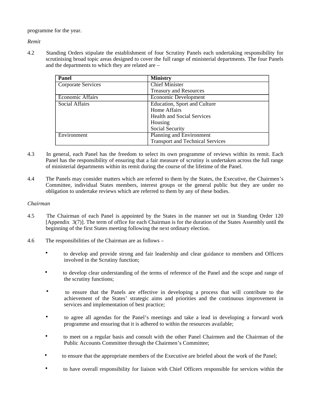programme for the year.

*Remit*

4.2 Standing Orders stipulate the establishment of four Scrutiny Panels each undertaking responsibility for scrutinising broad topic areas designed to cover the full range of ministerial departments. The four Panels and the departments to which they are related are –

| <b>Panel</b>            | <b>Ministry</b>                         |  |  |
|-------------------------|-----------------------------------------|--|--|
| Corporate Services      | <b>Chief Minister</b>                   |  |  |
|                         | <b>Treasury and Resources</b>           |  |  |
| <b>Economic Affairs</b> | Economic Development                    |  |  |
| Social Affairs          | Education, Sport and Culture            |  |  |
|                         | Home Affairs                            |  |  |
|                         | <b>Health and Social Services</b>       |  |  |
|                         | Housing                                 |  |  |
|                         | Social Security                         |  |  |
| Environment             | Planning and Environment                |  |  |
|                         | <b>Transport and Technical Services</b> |  |  |

- 4.3 In general, each Panel has the freedom to select its own programme of reviews within its remit. Each Panel has the responsibility of ensuring that a fair measure of scrutiny is undertaken across the full range of ministerial departments within its remit during the course of the lifetime of the Panel.
- 4.4 The Panels may consider matters which are referred to them by the States, the Executive, the Chairmen's Committee, individual States members, interest groups or the general public but they are under no obligation to undertake reviews which are referred to them by any of these bodies.

#### *Chairman*

- 4.5 The Chairman of each Panel is appointed by the States in the manner set out in Standing Order 120 [Appendix 3(7)]. The term of office for each Chairman is for the duration of the States Assembly until the beginning of the first States meeting following the next ordinary election.
- 4.6 The responsibilities of the Chairman are as follows
	- to develop and provide strong and fair leadership and clear guidance to members and Officers involved in the Scrutiny function;
	- to develop clear understanding of the terms of reference of the Panel and the scope and range of the scrutiny functions;
	- to ensure that the Panels are effective in developing a process that will contribute to the achievement of the States' strategic aims and priorities and the continuous improvement in services and implementation of best practice;
	- to agree all agendas for the Panel's meetings and take a lead in developing a forward work programme and ensuring that it is adhered to within the resources available;
	- to meet on a regular basis and consult with the other Panel Chairmen and the Chairman of the Public Accounts Committee through the Chairmen's Committee;
	- to ensure that the appropriate members of the Executive are briefed about the work of the Panel;
	- to have overall responsibility for liaison with Chief Officers responsible for services within the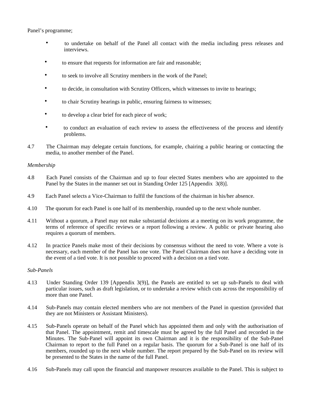Panel's programme;

- to undertake on behalf of the Panel all contact with the media including press releases and interviews.
- to ensure that requests for information are fair and reasonable;
- to seek to involve all Scrutiny members in the work of the Panel;
- to decide, in consultation with Scrutiny Officers, which witnesses to invite to hearings;
- to chair Scrutiny hearings in public, ensuring fairness to witnesses;
- to develop a clear brief for each piece of work;
- to conduct an evaluation of each review to assess the effectiveness of the process and identify problems.
- 4.7 The Chairman may delegate certain functions, for example, chairing a public hearing or contacting the media, to another member of the Panel.

#### *Membership*

- 4.8 Each Panel consists of the Chairman and up to four elected States members who are appointed to the Panel by the States in the manner set out in Standing Order 125 [Appendix 3(8)].
- 4.9 Each Panel selects a Vice-Chairman to fulfil the functions of the chairman in his/her absence.
- 4.10 The quorum for each Panel is one half of its membership, rounded up to the next whole number.
- 4.11 Without a quorum, a Panel may not make substantial decisions at a meeting on its work programme, the terms of reference of specific reviews or a report following a review. A public or private hearing also requires a quorum of members.
- 4.12 In practice Panels make most of their decisions by consensus without the need to vote. Where a vote is necessary, each member of the Panel has one vote. The Panel Chairman does not have a deciding vote in the event of a tied vote. It is not possible to proceed with a decision on a tied vote.

#### *Sub-Panels*

- 4.13 Under Standing Order 139 [Appendix 3(9)], the Panels are entitled to set up sub-Panels to deal with particular issues, such as draft legislation, or to undertake a review which cuts across the responsibility of more than one Panel.
- 4.14 Sub-Panels may contain elected members who are not members of the Panel in question (provided that they are not Ministers or Assistant Ministers).
- 4.15 Sub-Panels operate on behalf of the Panel which has appointed them and only with the authorisation of that Panel. The appointment, remit and timescale must be agreed by the full Panel and recorded in the Minutes. The Sub-Panel will appoint its own Chairman and it is the responsibility of the Sub-Panel Chairman to report to the full Panel on a regular basis. The quorum for a Sub-Panel is one half of its members, rounded up to the next whole number. The report prepared by the Sub-Panel on its review will be presented to the States in the name of the full Panel.
- 4.16 Sub-Panels may call upon the financial and manpower resources available to the Panel. This is subject to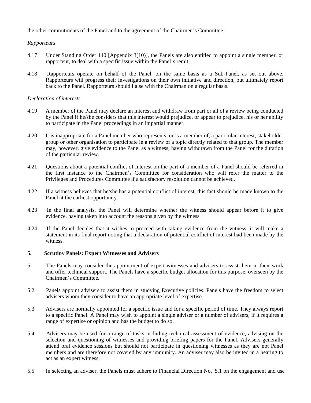the other commitments of the Panel and to the agreement of the Chairmen's Committee.

# *Rapporteurs*

- 4.17 Under Standing Order 140 [Appendix 3(10)], the Panels are also entitled to appoint a single member, or rapporteur, to deal with a specific issue within the Panel's remit.
- 4.18 Rapporteurs operate on behalf of the Panel, on the same basis as a Sub-Panel, as set out above. Rapporteurs will progress their investigations on their own initiative and direction, but ultimately report back to the Panel. Rapporteurs should liaise with the Chairman on a regular basis.

# *Declaration of interests*

- 4.19 A member of the Panel may declare an interest and withdraw from part or all of a review being conducted by the Panel if he/she considers that this interest would prejudice, or appear to prejudice, his or her ability to participate in the Panel proceedings in an impartial manner.
- 4.20 It is inappropriate for a Panel member who represents, or is a member of, a particular interest, stakeholder group or other organisation to participate in a review of a topic directly related to that group. The member may, however, give evidence to the Panel as a witness, having withdrawn from the Panel for the duration of the particular review.
- 4.21 Questions about a potential conflict of interest on the part of a member of a Panel should be referred in the first instance to the Chairmen's Committee for consideration who will refer the matter to the Privileges and Procedures Committee if a satisfactory resolution cannot be achieved.
- 4.22 If a witness believes that he/she has a potential conflict of interest, this fact should be made known to the Panel at the earliest opportunity.
- 4.23 In the final analysis, the Panel will determine whether the witness should appear before it to give evidence, having taken into account the reasons given by the witness.
- 4.24 If the Panel decides that it wishes to proceed with taking evidence from the witness, it will make a statement in its final report noting that a declaration of potential conflict of interest had been made by the witness.

# **5. Scrutiny Panels: Expert Witnesses and Advisers**

- 5.1 The Panels may consider the appointment of expert witnesses and advisers to assist them in their work and offer technical support. The Panels have a specific budget allocation for this purpose, overseen by the Chairmen's Committee.
- 5.2 Panels appoint advisers to assist them in studying Executive policies. Panels have the freedom to select advisers whom they consider to have an appropriate level of expertise.
- 5.3 Advisers are normally appointed for a specific issue and for a specific period of time. They always report to a specific Panel. A Panel may wish to appoint a single adviser or a number of advisers, if it requires a range of expertise or opinion and has the budget to do so.
- 5.4 Advisers may be used for a range of tasks including technical assessment of evidence, advising on the selection and questioning of witnesses and providing briefing papers for the Panel. Advisers generally attend oral evidence sessions but should not participate in questioning witnesses as they are not Panel members and are therefore not covered by any immunity. An adviser may also be invited in a hearing to act as an expert witness.
- 5.5 In selecting an adviser, the Panels must adhere to Financial Direction No. 5.1 on the engagement and use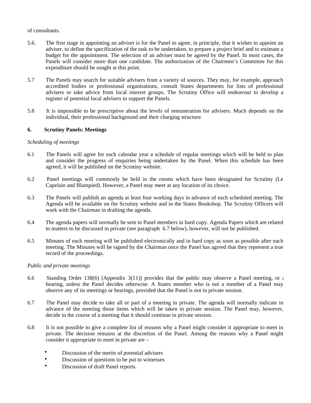#### of consultants.

- 5.6. The first stage in appointing an adviser is for the Panel to agree, in principle, that it wishes to appoint an adviser, to define the specification of the task to be undertaken, to prepare a project brief and to estimate a budget for the appointment. The selection of an adviser must be agreed by the Panel. In most cases, the Panels will consider more than one candidate. The authorisation of the Chairmen's Committee for this expenditure should be sought at this point.
- 5.7 The Panels may search for suitable advisers from a variety of sources. They may, for example, approach accredited bodies or professional organisations, consult States departments for lists of professional advisers or take advice from local interest groups. The Scrutiny Office will endeavour to develop a register of potential local advisers to support the Panels.
- 5.8 It is impossible to be prescriptive about the levels of remuneration for advisers. Much depends on the individual, their professional background and their charging structure.

# **6. Scrutiny Panels: Meetings**

#### *Scheduling of meetings*

- 6.1 The Panels will agree for each calendar year a schedule of regular meetings which will be held to plan and consider the progress of enquiries being undertaken by the Panel. When this schedule has been agreed, it will be published on the Scrutiny website.
- 6.2 Panel meetings will commonly be held in the rooms which have been designated for Scrutiny (Le Capelain and Blampied). However, a Panel may meet at any location of its choice.
- 6.3 The Panels will publish an agenda at least four working days in advance of each scheduled meeting. The Agenda will be available on the Scrutiny website and in the States Bookshop. The Scrutiny Officers will work with the Chairman in drafting the agenda.
- 6.4 The agenda papers will normally be sent to Panel members in hard copy. Agenda Papers which are related to matters to be discussed in private (see paragraph 6.7 below), however, will not be published.
- 6.5 Minutes of each meeting will be published electronically and in hard copy as soon as possible after each meeting. The Minutes will be signed by the Chairman once the Panel has agreed that they represent a true record of the proceedings.

#### *Public and private meetings*

- 6.6 Standing Order 138(6) [Appendix 3(11)] provides that the public may observe a Panel meeting, or  $\epsilon$ hearing, unless the Panel decides otherwise. A States member who is not a member of a Panel may observe any of its meetings or hearings, provided that the Panel is not in private session.
- 6.7 The Panel may decide to take all or part of a meeting in private. The agenda will normally indicate in advance of the meeting those items which will be taken in private session. The Panel may, however, decide in the course of a meeting that it should continue in private session.
- 6.8 It is not possible to give a complete list of reasons why a Panel might consider it appropriate to meet in private. The decision remains at the discretion of the Panel. Among the reasons why a Panel might consider it appropriate to meet in private are –
	- Discussion of the merits of potential advisers
	- Discussion of questions to be put to witnesses
	- Discussion of draft Panel reports.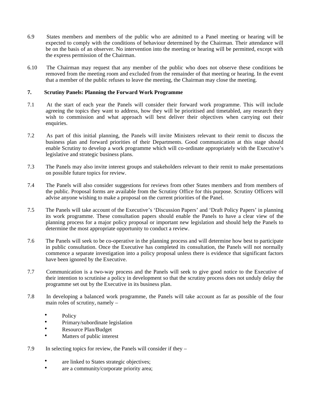- 6.9 States members and members of the public who are admitted to a Panel meeting or hearing will be expected to comply with the conditions of behaviour determined by the Chairman. Their attendance will be on the basis of an observer. No intervention into the meeting or hearing will be permitted, except with the express permission of the Chairman.
- 6.10 The Chairman may request that any member of the public who does not observe these conditions be removed from the meeting room and excluded from the remainder of that meeting or hearing. In the event that a member of the public refuses to leave the meeting, the Chairman may close the meeting.

# **7. Scrutiny Panels: Planning the Forward Work Programme**

- 7.1 At the start of each year the Panels will consider their forward work programme. This will include agreeing the topics they want to address, how they will be prioritised and timetabled, any research they wish to commission and what approach will best deliver their objectives when carrying out their enquiries.
- 7.2 As part of this initial planning, the Panels will invite Ministers relevant to their remit to discuss the business plan and forward priorities of their Departments. Good communication at this stage should enable Scrutiny to develop a work programme which will co-ordinate appropriately with the Executive's legislative and strategic business plans.
- 7.3 The Panels may also invite interest groups and stakeholders relevant to their remit to make presentations on possible future topics for review.
- 7.4 The Panels will also consider suggestions for reviews from other States members and from members of the public. Proposal forms are available from the Scrutiny Office for this purpose. Scrutiny Officers will advise anyone wishing to make a proposal on the current priorities of the Panel.
- 7.5 The Panels will take account of the Executive's 'Discussion Papers' and 'Draft Policy Papers' in planning its work programme. These consultation papers should enable the Panels to have a clear view of the planning process for a major policy proposal or important new legislation and should help the Panels to determine the most appropriate opportunity to conduct a review.
- 7.6 The Panels will seek to be co-operative in the planning process and will determine how best to participate in public consultation. Once the Executive has completed its consultation, the Panels will not normally commence a separate investigation into a policy proposal unless there is evidence that significant factors have been ignored by the Executive.
- 7.7 Communication is a two-way process and the Panels will seek to give good notice to the Executive of their intention to scrutinise a policy in development so that the scrutiny process does not unduly delay the programme set out by the Executive in its business plan.
- 7.8 In developing a balanced work programme, the Panels will take account as far as possible of the four main roles of scrutiny, namely –
	- Policy
	- Primary/subordinate legislation
	- Resource Plan/Budget
	- Matters of public interest
- 7.9 In selecting topics for review, the Panels will consider if they
	- are linked to States strategic objectives;
	- are a community/corporate priority area;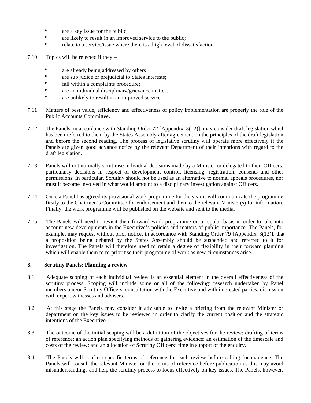- are a key issue for the public;
- are likely to result in an improved service to the public;
- relate to a service/issue where there is a high level of dissatisfaction.
- 7.10 Topics will be rejected if they
	- are already being addressed by others
	- are sub judice or prejudicial to States interests;
	- fall within a complaints procedure;
	- are an individual disciplinary/grievance matter;
	- are unlikely to result in an improved service.
- 7.11 Matters of best value, efficiency and effectiveness of policy implementation are properly the role of the Public Accounts Committee.
- 7.12 The Panels, in accordance with Standing Order 72 [Appendix 3(12)], may consider draft legislation which has been referred to them by the States Assembly after agreement on the principles of the draft legislation and before the second reading. The process of legislative scrutiny will operate more effectively if the Panels are given good advance notice by the relevant Department of their intentions with regard to the draft legislation.
- 7.13 Panels will not normally scrutinise individual decisions made by a Minister or delegated to their Officers, particularly decisions in respect of development control, licensing, registration, consents and other permissions. In particular, Scrutiny should not be used as an alternative to normal appeals procedures, nor must it become involved in what would amount to a disciplinary investigation against Officers.
- 7.14 Once a Panel has agreed its provisional work programme for the year it will communicate the programme firstly to the Chairmen's Committee for endorsement and then to the relevant Minister(s) for information. Finally, the work programme will be published on the website and sent to the media.
- 7.15 The Panels will need to revisit their forward work programme on a regular basis in order to take into account new developments in the Executive's policies and matters of public importance. The Panels, for example, may request without prior notice, in accordance with Standing Order 79 [Appendix 3(13)], that a proposition being debated by the States Assembly should be suspended and referred to it for investigation. The Panels will therefore need to retain a degree of flexibility in their forward planning which will enable them to re-prioritise their programme of work as new circumstances arise.

#### **8. Scrutiny Panels: Planning a review**

- 8.1 Adequate scoping of each individual review is an essential element in the overall effectiveness of the scrutiny process. Scoping will include some or all of the following: research undertaken by Panel members and/or Scrutiny Officers; consultation with the Executive and with interested parties; discussion with expert witnesses and advisers.
- 8.2 At this stage the Panels may consider it advisable to invite a briefing from the relevant Minister or department on the key issues to be reviewed in order to clarify the current position and the strategic intentions of the Executive.
- 8.3 The outcome of the initial scoping will be a definition of the objectives for the review; drafting of terms of reference; an action plan specifying methods of gathering evidence; an estimation of the timescale and costs of the review; and an allocation of Scrutiny Officers' time in support of the enquiry.
- 8.4 The Panels will confirm specific terms of reference for each review before calling for evidence. The Panels will consult the relevant Minister on the terms of reference before publication as this may avoid misunderstandings and help the scrutiny process to focus effectively on key issues. The Panels, however,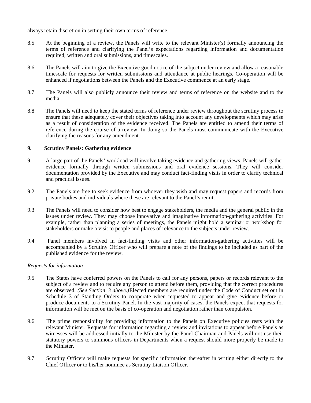always retain discretion in setting their own terms of reference.

- 8.5 At the beginning of a review, the Panels will write to the relevant Minister(s) formally announcing the terms of reference and clarifying the Panel's expectations regarding information and documentation required, written and oral submissions, and timescales.
- 8.6 The Panels will aim to give the Executive good notice of the subject under review and allow a reasonable timescale for requests for written submissions and attendance at public hearings. Co-operation will be enhanced if negotiations between the Panels and the Executive commence at an early stage.
- 8.7 The Panels will also publicly announce their review and terms of reference on the website and to the media.
- 8.8 The Panels will need to keep the stated terms of reference under review throughout the scrutiny process to ensure that these adequately cover their objectives taking into account any developments which may arise as a result of consideration of the evidence received. The Panels are entitled to amend their terms of reference during the course of a review. In doing so the Panels must communicate with the Executive clarifying the reasons for any amendment.

# **9. Scrutiny Panels: Gathering evidence**

- 9.1 A large part of the Panels' workload will involve taking evidence and gathering views. Panels will gather evidence formally through written submissions and oral evidence sessions. They will consider documentation provided by the Executive and may conduct fact-finding visits in order to clarify technical and practical issues.
- 9.2 The Panels are free to seek evidence from whoever they wish and may request papers and records from private bodies and individuals where these are relevant to the Panel's remit.
- 9.3 The Panels will need to consider how best to engage stakeholders, the media and the general public in the issues under review. They may choose innovative and imaginative information-gathering activities. For example, rather than planning a series of meetings, the Panels might hold a seminar or workshop for stakeholders or make a visit to people and places of relevance to the subjects under review.
- 9.4 Panel members involved in fact-finding visits and other information-gathering activities will be accompanied by a Scrutiny Officer who will prepare a note of the findings to be included as part of the published evidence for the review.

#### *Requests for information*

- 9.5 The States have conferred powers on the Panels to call for any persons, papers or records relevant to the subject of a review and to require any person to attend before them, providing that the correct procedures are observed. *(See Section 3 above.)* Elected members are required under the Code of Conduct set out in Schedule 3 of Standing Orders to cooperate when requested to appear and give evidence before or produce documents to a Scrutiny Panel. In the vast majority of cases, the Panels expect that requests for information will be met on the basis of co-operation and negotiation rather than compulsion.
- 9.6 The prime responsibility for providing information to the Panels on Executive policies rests with the relevant Minister. Requests for information regarding a review and invitations to appear before Panels as witnesses will be addressed initially to the Minister by the Panel Chairman and Panels will not use their statutory powers to summons officers in Departments when a request should more properly be made to the Minister.
- 9.7 Scrutiny Officers will make requests for specific information thereafter in writing either directly to the Chief Officer or to his/her nominee as Scrutiny Liaison Officer.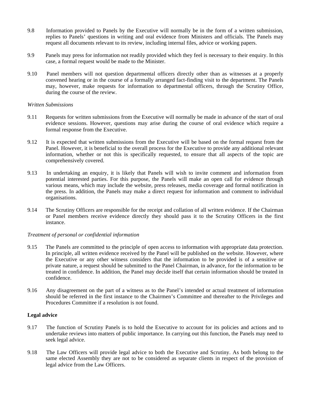- 9.8 Information provided to Panels by the Executive will normally be in the form of a written submission, replies to Panels' questions in writing and oral evidence from Ministers and officials. The Panels may request all documents relevant to its review, including internal files, advice or working papers.
- 9.9 Panels may press for information not readily provided which they feel is necessary to their enquiry. In this case, a formal request would be made to the Minister.
- 9.10 Panel members will not question departmental officers directly other than as witnesses at a properly convened hearing or in the course of a formally arranged fact-finding visit to the department. The Panels may, however, make requests for information to departmental officers, through the Scrutiny Office, during the course of the review.

#### *Written Submissions*

- 9.11 Requests for written submissions from the Executive will normally be made in advance of the start of oral evidence sessions. However, questions may arise during the course of oral evidence which require a formal response from the Executive.
- 9.12 It is expected that written submissions from the Executive will be based on the formal request from the Panel. However, it is beneficial to the overall process for the Executive to provide any additional relevant information, whether or not this is specifically requested, to ensure that all aspects of the topic are comprehensively covered.
- 9.13 In undertaking an enquiry, it is likely that Panels will wish to invite comment and information from potential interested parties. For this purpose, the Panels will make an open call for evidence through various means, which may include the website, press releases, media coverage and formal notification in the press. In addition, the Panels may make a direct request for information and comment to individual organisations.
- 9.14 The Scrutiny Officers are responsible for the receipt and collation of all written evidence. If the Chairman or Panel members receive evidence directly they should pass it to the Scrutiny Officers in the first instance.

#### *Treatment of personal or confidential information*

- 9.15 The Panels are committed to the principle of open access to information with appropriate data protection. In principle, all written evidence received by the Panel will be published on the website. However, where the Executive or any other witness considers that the information to be provided is of a sensitive or private nature, a request should be submitted to the Panel Chairman, in advance, for the information to be treated in confidence. In addition, the Panel may decide itself that certain information should be treated in confidence.
- 9.16 Any disagreement on the part of a witness as to the Panel's intended or actual treatment of information should be referred in the first instance to the Chairmen's Committee and thereafter to the Privileges and Procedures Committee if a resolution is not found.

#### **Legal advice**

- 9.17 The function of Scrutiny Panels is to hold the Executive to account for its policies and actions and to undertake reviews into matters of public importance. In carrying out this function, the Panels may need to seek legal advice.
- 9.18 The Law Officers will provide legal advice to both the Executive and Scrutiny. As both belong to the same elected Assembly they are not to be considered as separate clients in respect of the provision of legal advice from the Law Officers.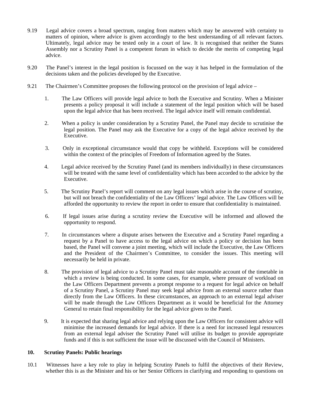- 9.19 Legal advice covers a broad spectrum, ranging from matters which may be answered with certainty to matters of opinion, where advice is given accordingly to the best understanding of all relevant factors. Ultimately, legal advice may be tested only in a court of law. It is recognised that neither the States Assembly nor a Scrutiny Panel is a competent forum in which to decide the merits of competing legal advice.
- 9.20 The Panel's interest in the legal position is focussed on the way it has helped in the formulation of the decisions taken and the policies developed by the Executive.
- 9.21 The Chairmen's Committee proposes the following protocol on the provision of legal advice
	- 1. The Law Officers will provide legal advice to both the Executive and Scrutiny. When a Minister presents a policy proposal it will include a statement of the legal position which will be based upon the legal advice that has been received. The legal advice itself will remain confidential.
	- 2. When a policy is under consideration by a Scrutiny Panel, the Panel may decide to scrutinise the legal position. The Panel may ask the Executive for a copy of the legal advice received by the Executive.
	- 3. Only in exceptional circumstance would that copy be withheld. Exceptions will be considered within the context of the principles of Freedom of Information agreed by the States.
	- 4. Legal advice received by the Scrutiny Panel (and its members individually) in these circumstances will be treated with the same level of confidentiality which has been accorded to the advice by the Executive.
	- 5. The Scrutiny Panel's report will comment on any legal issues which arise in the course of scrutiny, but will not breach the confidentiality of the Law Officers' legal advice. The Law Officers will be afforded the opportunity to review the report in order to ensure that confidentiality is maintained.
	- 6. If legal issues arise during a scrutiny review the Executive will be informed and allowed the opportunity to respond.
	- 7. In circumstances where a dispute arises between the Executive and a Scrutiny Panel regarding a request by a Panel to have access to the legal advice on which a policy or decision has been based, the Panel will convene a joint meeting, which will include the Executive, the Law Officers and the President of the Chairmen's Committee, to consider the issues. This meeting will necessarily be held in private.
	- 8. The provision of legal advice to a Scrutiny Panel must take reasonable account of the timetable in which a review is being conducted. In some cases, for example, where pressure of workload on the Law Officers Department prevents a prompt response to a request for legal advice on behalf of a Scrutiny Panel, a Scrutiny Panel may seek legal advice from an external source rather than directly from the Law Officers. In these circumstances, an approach to an external legal adviser will be made through the Law Officers Department as it would be beneficial for the Attorney General to retain final responsibility for the legal advice given to the Panel.
	- 9. It is expected that sharing legal advice and relying upon the Law Officers for consistent advice will minimise the increased demands for legal advice. If there is a need for increased legal resources from an external legal adviser the Scrutiny Panel will utilise its budget to provide appropriate funds and if this is not sufficient the issue will be discussed with the Council of Ministers.

#### **10. Scrutiny Panels: Public hearings**

10.1 Witnesses have a key role to play in helping Scrutiny Panels to fulfil the objectives of their Review, whether this is as the Minister and his or her Senior Officers in clarifying and responding to questions on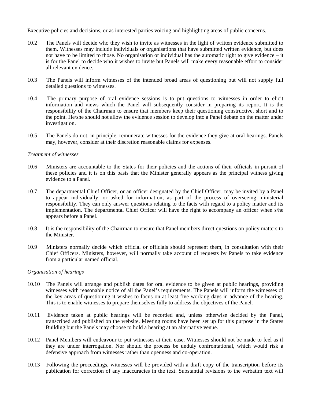Executive policies and decisions, or as interested parties voicing and highlighting areas of public concerns.

- 10.2 The Panels will decide who they wish to invite as witnesses in the light of written evidence submitted to them. Witnesses may include individuals or organisations that have submitted written evidence, but does not have to be limited to those. No organisation or individual has the automatic right to give evidence – it is for the Panel to decide who it wishes to invite but Panels will make every reasonable effort to consider all relevant evidence.
- 10.3 The Panels will inform witnesses of the intended broad areas of questioning but will not supply full detailed questions to witnesses.
- 10.4 The primary purpose of oral evidence sessions is to put questions to witnesses in order to elicit information and views which the Panel will subsequently consider in preparing its report. It is the responsibility of the Chairman to ensure that members keep their questioning constructive, short and to the point. He/she should not allow the evidence session to develop into a Panel debate on the matter under investigation.
- 10.5 The Panels do not, in principle, remunerate witnesses for the evidence they give at oral hearings. Panels may, however, consider at their discretion reasonable claims for expenses.

#### *Treatment of witnesses*

- 10.6 Ministers are accountable to the States for their policies and the actions of their officials in pursuit of these policies and it is on this basis that the Minister generally appears as the principal witness giving evidence to a Panel.
- 10.7 The departmental Chief Officer, or an officer designated by the Chief Officer, may be invited by a Panel to appear individually, or asked for information, as part of the process of overseeing ministerial responsibility. They can only answer questions relating to the facts with regard to a policy matter and its implementation. The departmental Chief Officer will have the right to accompany an officer when s/he appears before a Panel.
- 10.8 It is the responsibility of the Chairman to ensure that Panel members direct questions on policy matters to the Minister.
- 10.9 Ministers normally decide which official or officials should represent them, in consultation with their Chief Officers. Ministers, however, will normally take account of requests by Panels to take evidence from a particular named official.

#### *Organisation of hearings*

- 10.10 The Panels will arrange and publish dates for oral evidence to be given at public hearings, providing witnesses with reasonable notice of all the Panel's requirements. The Panels will inform the witnesses of the key areas of questioning it wishes to focus on at least five working days in advance of the hearing. This is to enable witnesses to prepare themselves fully to address the objectives of the Panel.
- 10.11 Evidence taken at public hearings will be recorded and, unless otherwise decided by the Panel, transcribed and published on the website. Meeting rooms have been set up for this purpose in the States Building but the Panels may choose to hold a hearing at an alternative venue.
- 10.12 Panel Members will endeavour to put witnesses at their ease. Witnesses should not be made to feel as if they are under interrogation. Nor should the process be unduly confrontational, which would risk a defensive approach from witnesses rather than openness and co-operation.
- 10.13 Following the proceedings, witnesses will be provided with a draft copy of the transcription before its publication for correction of any inaccuracies in the text. Substantial revisions to the verbatim text will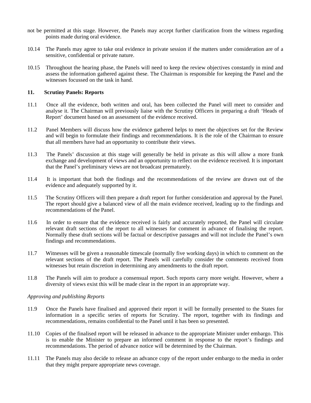- not be permitted at this stage. However, the Panels may accept further clarification from the witness regarding points made during oral evidence.
- 10.14 The Panels may agree to take oral evidence in private session if the matters under consideration are of a sensitive, confidential or private nature.
- 10.15 Throughout the hearing phase, the Panels will need to keep the review objectives constantly in mind and assess the information gathered against these. The Chairman is responsible for keeping the Panel and the witnesses focussed on the task in hand.

#### **11. Scrutiny Panels: Reports**

- 11.1 Once all the evidence, both written and oral, has been collected the Panel will meet to consider and analyse it. The Chairman will previously liaise with the Scrutiny Officers in preparing a draft 'Heads of Report' document based on an assessment of the evidence received.
- 11.2 Panel Members will discuss how the evidence gathered helps to meet the objectives set for the Review and will begin to formulate their findings and recommendations. It is the role of the Chairman to ensure that all members have had an opportunity to contribute their views.
- 11.3 The Panels' discussion at this stage will generally be held in private as this will allow a more frank exchange and development of views and an opportunity to reflect on the evidence received. It is important that the Panel's preliminary views are not broadcast prematurely.
- 11.4 It is important that both the findings and the recommendations of the review are drawn out of the evidence and adequately supported by it.
- 11.5 The Scrutiny Officers will then prepare a draft report for further consideration and approval by the Panel. The report should give a balanced view of all the main evidence received, leading up to the findings and recommendations of the Panel.
- 11.6 In order to ensure that the evidence received is fairly and accurately reported, the Panel will circulate relevant draft sections of the report to all witnesses for comment in advance of finalising the report. Normally these draft sections will be factual or descriptive passages and will not include the Panel's own findings and recommendations.
- 11.7 Witnesses will be given a reasonable timescale (normally five working days) in which to comment on the relevant sections of the draft report. The Panels will carefully consider the comments received from witnesses but retain discretion in determining any amendments to the draft report.
- 11.8 The Panels will aim to produce a consensual report. Such reports carry more weight. However, where a diversity of views exist this will be made clear in the report in an appropriate way.

#### *Approving and publishing Reports*

- 11.9 Once the Panels have finalised and approved their report it will be formally presented to the States for information in a specific series of reports for Scrutiny. The report, together with its findings and recommendations, remains confidential to the Panel until it has been so presented.
- 11.10 Copies of the finalised report will be released in advance to the appropriate Minister under embargo. This is to enable the Minister to prepare an informed comment in response to the report's findings and recommendations. The period of advance notice will be determined by the Chairman.
- 11.11 The Panels may also decide to release an advance copy of the report under embargo to the media in order that they might prepare appropriate news coverage.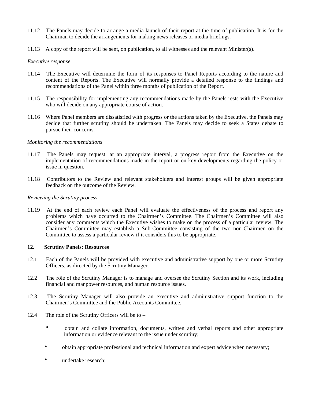- 11.12 The Panels may decide to arrange a media launch of their report at the time of publication. It is for the Chairman to decide the arrangements for making news releases or media briefings.
- 11.13 A copy of the report will be sent, on publication, to all witnesses and the relevant Minister(s).

#### *Executive response*

- 11.14 The Executive will determine the form of its responses to Panel Reports according to the nature and content of the Reports. The Executive will normally provide a detailed response to the findings and recommendations of the Panel within three months of publication of the Report.
- 11.15 The responsibility for implementing any recommendations made by the Panels rests with the Executive who will decide on any appropriate course of action.
- 11.16 Where Panel members are dissatisfied with progress or the actions taken by the Executive, the Panels may decide that further scrutiny should be undertaken. The Panels may decide to seek a States debate to pursue their concerns.

#### *Monitoring the recommendations*

- 11.17 The Panels may request, at an appropriate interval, a progress report from the Executive on the implementation of recommendations made in the report or on key developments regarding the policy or issue in question.
- 11.18 Contributors to the Review and relevant stakeholders and interest groups will be given appropriate feedback on the outcome of the Review.

#### *Reviewing the Scrutiny process*

11.19 At the end of each review each Panel will evaluate the effectiveness of the process and report any problems which have occurred to the Chairmen's Committee. The Chairmen's Committee will also consider any comments which the Executive wishes to make on the process of a particular review. The Chairmen's Committee may establish a Sub-Committee consisting of the two non-Chairmen on the Committee to assess a particular review if it considers this to be appropriate.

#### **12. Scrutiny Panels: Resources**

- 12.1 Each of the Panels will be provided with executive and administrative support by one or more Scrutiny Officers, as directed by the Scrutiny Manager.
- 12.2 The rôle of the Scrutiny Manager is to manage and oversee the Scrutiny Section and its work, including financial and manpower resources, and human resource issues.
- 12.3 The Scrutiny Manager will also provide an executive and administrative support function to the Chairmen's Committee and the Public Accounts Committee.
- 12.4 The role of the Scrutiny Officers will be to
	- obtain and collate information, documents, written and verbal reports and other appropriate information or evidence relevant to the issue under scrutiny;
	- obtain appropriate professional and technical information and expert advice when necessary;
	- undertake research: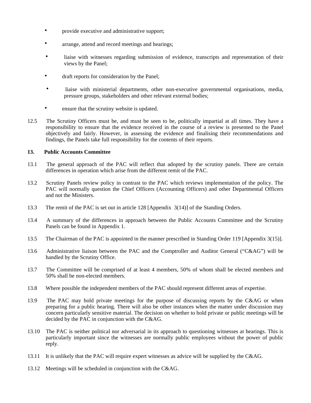- provide executive and administrative support;
- arrange, attend and record meetings and hearings;
- liaise with witnesses regarding submission of evidence, transcripts and representation of their views by the Panel;
- draft reports for consideration by the Panel;
- liaise with ministerial departments, other non-executive governmental organisations, media, pressure groups, stakeholders and other relevant external bodies;
- ensure that the scrutiny website is updated.
- 12.5 The Scrutiny Officers must be, and must be seen to be, politically impartial at all times. They have a responsibility to ensure that the evidence received in the course of a review is presented to the Panel objectively and fairly. However, in assessing the evidence and finalising their recommendations and findings, the Panels take full responsibility for the contents of their reports.

# **13. Public Accounts Committee**

- 13.1 The general approach of the PAC will reflect that adopted by the scrutiny panels. There are certain differences in operation which arise from the different remit of the PAC.
- 13.2 Scrutiny Panels review policy in contrast to the PAC which reviews implementation of the policy. The PAC will normally question the Chief Officers (Accounting Officers) and other Departmental Officers and not the Ministers.
- 13.3 The remit of the PAC is set out in article 128 [Appendix 3(14)] of the Standing Orders.
- 13.4 A summary of the differences in approach between the Public Accounts Committee and the Scrutiny Panels can be found in Appendix 1.
- 13.5 The Chairman of the PAC is appointed in the manner prescribed in Standing Order 119 [Appendix 3(15)].
- 13.6 Administrative liaison between the PAC and the Comptroller and Auditor General ("C&AG") will be handled by the Scrutiny Office.
- 13.7 The Committee will be comprised of at least 4 members, 50% of whom shall be elected members and 50% shall be non-elected members.
- 13.8 Where possible the independent members of the PAC should represent different areas of expertise.
- 13.9 The PAC may hold private meetings for the purpose of discussing reports by the C&AG or when preparing for a public hearing. There will also be other instances when the matter under discussion may concern particularly sensitive material. The decision on whether to hold private or public meetings will be decided by the PAC in conjunction with the C&AG.
- 13.10 The PAC is neither political nor adversarial in its approach to questioning witnesses at hearings. This is particularly important since the witnesses are normally public employees without the power of public reply.
- 13.11 It is unlikely that the PAC will require expert witnesses as advice will be supplied by the C&AG.
- 13.12 Meetings will be scheduled in conjunction with the C&AG.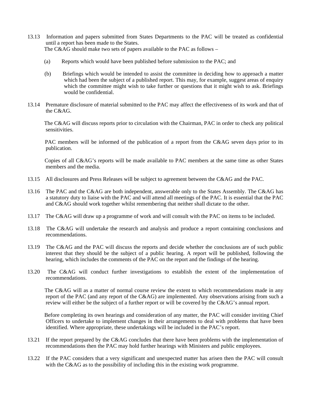- 13.13 Information and papers submitted from States Departments to the PAC will be treated as confidential until a report has been made to the States. The C&AG should make two sets of papers available to the PAC as follows –
	- (a) Reports which would have been published before submission to the PAC; and
	- (b) Briefings which would be intended to assist the committee in deciding how to approach a matter which had been the subject of a published report. This may, for example, suggest areas of enquiry which the committee might wish to take further or questions that it might wish to ask. Briefings would be confidential.
- 13.14 Premature disclosure of material submitted to the PAC may affect the effectiveness of its work and that of the C&AG.

 The C&AG will discuss reports prior to circulation with the Chairman, PAC in order to check any political sensitivities.

 PAC members will be informed of the publication of a report from the C&AG seven days prior to its publication.

 Copies of all C&AG's reports will be made available to PAC members at the same time as other States members and the media.

- 13.15 All disclosures and Press Releases will be subject to agreement between the C&AG and the PAC.
- 13.16 The PAC and the C&AG are both independent, answerable only to the States Assembly. The C&AG has a statutory duty to liaise with the PAC and will attend all meetings of the PAC. It is essential that the PAC and C&AG should work together whilst remembering that neither shall dictate to the other.
- 13.17 The C&AG will draw up a programme of work and will consult with the PAC on items to be included.
- 13.18 The C&AG will undertake the research and analysis and produce a report containing conclusions and recommendations.
- 13.19 The C&AG and the PAC will discuss the reports and decide whether the conclusions are of such public interest that they should be the subject of a public hearing. A report will be published, following the hearing, which includes the comments of the PAC on the report and the findings of the hearing.
- 13.20 The C&AG will conduct further investigations to establish the extent of the implementation of recommendations.

 The C&AG will as a matter of normal course review the extent to which recommendations made in any report of the PAC (and any report of the C&AG) are implemented. Any observations arising from such a review will either be the subject of a further report or will be covered by the C&AG's annual report.

 Before completing its own hearings and consideration of any matter, the PAC will consider inviting Chief Officers to undertake to implement changes in their arrangements to deal with problems that have been identified. Where appropriate, these undertakings will be included in the PAC's report.

- 13.21 If the report prepared by the C&AG concludes that there have been problems with the implementation of recommendations then the PAC may hold further hearings with Ministers and public employees.
- 13.22 If the PAC considers that a very significant and unexpected matter has arisen then the PAC will consult with the C&AG as to the possibility of including this in the existing work programme.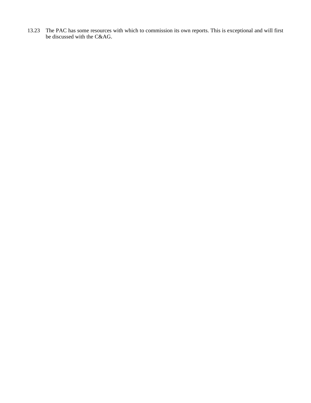13.23 The PAC has some resources with which to commission its own reports. This is exceptional and will first be discussed with the C&AG.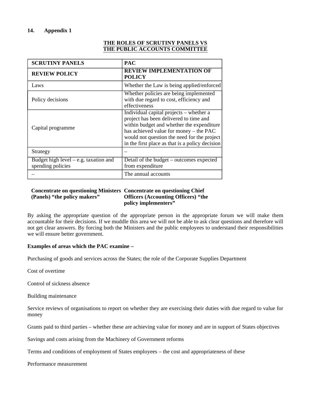# **14. Appendix 1**

# **THE ROLES OF SCRUTINY PANELS VS THE PUBLIC ACCOUNTS COMMITTEE**

| <b>SCRUTINY PANELS</b>                                       | <b>PAC</b>                                                                                                                                                                                                                                                                 |  |
|--------------------------------------------------------------|----------------------------------------------------------------------------------------------------------------------------------------------------------------------------------------------------------------------------------------------------------------------------|--|
| <b>REVIEW POLICY</b>                                         | <b>REVIEW IMPLEMENTATION OF</b><br><b>POLICY</b>                                                                                                                                                                                                                           |  |
| Laws                                                         | Whether the Law is being applied/enforced                                                                                                                                                                                                                                  |  |
| Policy decisions                                             | Whether policies are being implemented<br>with due regard to cost, efficiency and<br>effectiveness                                                                                                                                                                         |  |
| Capital programme                                            | Individual capital projects – whether a<br>project has been delivered to time and<br>within budget and whether the expenditure<br>has achieved value for money – the PAC<br>would not question the need for the project<br>in the first place as that is a policy decision |  |
| Strategy                                                     |                                                                                                                                                                                                                                                                            |  |
| Budget high level $-$ e.g. taxation and<br>spending policies | Detail of the budget – outcomes expected<br>from expenditure                                                                                                                                                                                                               |  |
|                                                              | The annual accounts                                                                                                                                                                                                                                                        |  |

#### **Concentrate on questioning Ministers Concentrate on questioning Chief (Panels) "the policy makers" Officers (Accounting Officers) "the policy implementers"**

By asking the appropriate question of the appropriate person in the appropriate forum we will make them accountable for their decisions. If we muddle this area we will not be able to ask clear questions and therefore will not get clear answers. By forcing both the Ministers and the public employees to understand their responsibilities we will ensure better government.

# **Examples of areas which the PAC examine –**

Purchasing of goods and services across the States; the role of the Corporate Supplies Department

Cost of overtime

Control of sickness absence

Building maintenance

Service reviews of organisations to report on whether they are exercising their duties with due regard to value for money

Grants paid to third parties – whether these are achieving value for money and are in support of States objectives

Savings and costs arising from the Machinery of Government reforms

Terms and conditions of employment of States employees – the cost and appropriateness of these

Performance measurement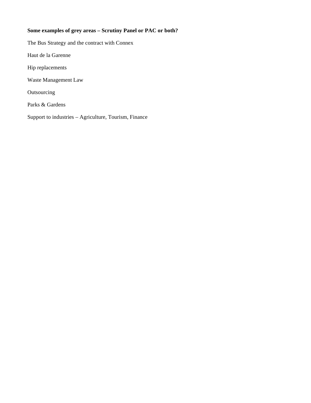# **Some examples of grey areas – Scrutiny Panel or PAC or both?**

The Bus Strategy and the contract with Connex Haut de la Garenne Hip replacements Waste Management Law Outsourcing Parks & Gardens Support to industries – Agriculture, Tourism, Finance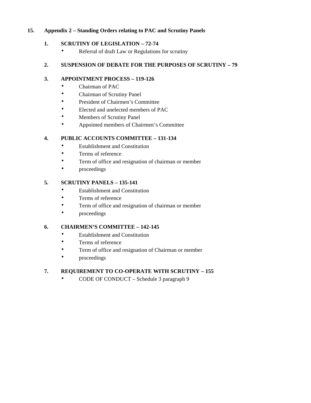# **15. Appendix 2 – Standing Orders relating to PAC and Scrutiny Panels**

# **1. SCRUTINY OF LEGISLATION – 72-74**

• Referral of draft Law or Regulations for scrutiny

# **2. SUSPENSION OF DEBATE FOR THE PURPOSES OF SCRUTINY – 79**

# **3. APPOINTMENT PROCESS – 119-126**

- Chairman of PAC
- Chairman of Scrutiny Panel
- President of Chairmen's Committee
- Elected and unelected members of PAC
- Members of Scrutiny Panel
- Appointed members of Chairmen's Committee

# **4. PUBLIC ACCOUNTS COMMITTEE – 131-134**

- Establishment and Constitution
- Terms of reference
- Term of office and resignation of chairman or member
- proceedings

# **5. SCRUTINY PANELS – 135-141**

- **Establishment and Constitution**
- Terms of reference
- Term of office and resignation of chairman or member
- proceedings

# **6. CHAIRMEN'S COMMITTEE – 142-145**

- Establishment and Constitution
- Terms of reference
- Term of office and resignation of Chairman or member
- proceedings

# **7. REQUIREMENT TO CO-OPERATE WITH SCRUTINY – 155**

• CODE OF CONDUCT – Schedule 3 paragraph 9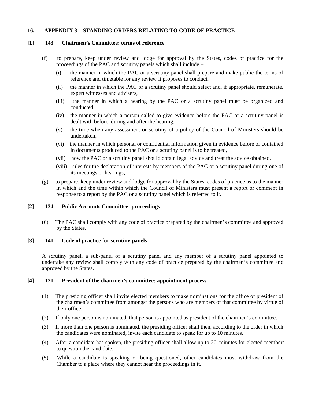# **16. APPENDIX 3 – STANDING ORDERS RELATING TO CODE OF PRACTICE**

#### **[1] 143 Chairmen's Committee: terms of reference**

- (f) to prepare, keep under review and lodge for approval by the States, codes of practice for the proceedings of the PAC and scrutiny panels which shall include –
	- (i) the manner in which the PAC or a scrutiny panel shall prepare and make public the terms of reference and timetable for any review it proposes to conduct,
	- (ii) the manner in which the PAC or a scrutiny panel should select and, if appropriate, remunerate, expert witnesses and advisers,
	- (iii) the manner in which a hearing by the PAC or a scrutiny panel must be organized and conducted,
	- (iv) the manner in which a person called to give evidence before the PAC or a scrutiny panel is dealt with before, during and after the hearing,
	- (v) the time when any assessment or scrutiny of a policy of the Council of Ministers should be undertaken,
	- (vi) the manner in which personal or confidential information given in evidence before or contained in documents produced to the PAC or a scrutiny panel is to be treated,
	- (vii) how the PAC or a scrutiny panel should obtain legal advice and treat the advice obtained,
	- (viii) rules for the declaration of interests by members of the PAC or a scrutiny panel during one of its meetings or hearings;
- (g) to prepare, keep under review and lodge for approval by the States, codes of practice as to the manner in which and the time within which the Council of Ministers must present a report or comment in response to a report by the PAC or a scrutiny panel which is referred to it.

#### **[2] 134 Public Accounts Committee: proceedings**

(6) The PAC shall comply with any code of practice prepared by the chairmen's committee and approved by the States.

# **[3] 141 Code of practice for scrutiny panels**

A scrutiny panel, a sub-panel of a scrutiny panel and any member of a scrutiny panel appointed to undertake any review shall comply with any code of practice prepared by the chairmen's committee and approved by the States.

#### **[4] 121 President of the chairmen's committee: appointment process**

- (1) The presiding officer shall invite elected members to make nominations for the office of president of the chairmen's committee from amongst the persons who are members of that committee by virtue of their office.
- (2) If only one person is nominated, that person is appointed as president of the chairmen's committee.
- (3) If more than one person is nominated, the presiding officer shall then, according to the order in which the candidates were nominated, invite each candidate to speak for up to 10 minutes.
- (4) After a candidate has spoken, the presiding officer shall allow up to 20 minutes for elected members to question the candidate.
- (5) While a candidate is speaking or being questioned, other candidates must withdraw from the Chamber to a place where they cannot hear the proceedings in it.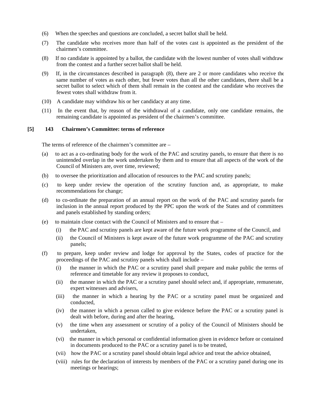- (6) When the speeches and questions are concluded, a secret ballot shall be held.
- (7) The candidate who receives more than half of the votes cast is appointed as the president of the chairmen's committee.
- (8) If no candidate is appointed by a ballot, the candidate with the lowest number of votes shall withdraw from the contest and a further secret ballot shall be held.
- (9) If, in the circumstances described in paragraph (8), there are 2 or more candidates who receive the same number of votes as each other, but fewer votes than all the other candidates, there shall be a secret ballot to select which of them shall remain in the contest and the candidate who receives the fewest votes shall withdraw from it.
- (10) A candidate may withdraw his or her candidacy at any time.
- (11) In the event that, by reason of the withdrawal of a candidate, only one candidate remains, the remaining candidate is appointed as president of the chairmen's committee.

#### **[5] 143 Chairmen's Committee: terms of reference**

The terms of reference of the chairmen's committee are –

- (a) to act as a co-ordinating body for the work of the PAC and scrutiny panels, to ensure that there is no unintended overlap in the work undertaken by them and to ensure that all aspects of the work of the Council of Ministers are, over time, reviewed;
- (b) to oversee the prioritization and allocation of resources to the PAC and scrutiny panels;
- (c) to keep under review the operation of the scrutiny function and, as appropriate, to make recommendations for change;
- (d) to co-ordinate the preparation of an annual report on the work of the PAC and scrutiny panels for inclusion in the annual report produced by the PPC upon the work of the States and of committees and panels established by standing orders;
- (e) to maintain close contact with the Council of Ministers and to ensure that
	- (i) the PAC and scrutiny panels are kept aware of the future work programme of the Council, and
	- (ii) the Council of Ministers is kept aware of the future work programme of the PAC and scrutiny panels;
- (f) to prepare, keep under review and lodge for approval by the States, codes of practice for the proceedings of the PAC and scrutiny panels which shall include –
	- (i) the manner in which the PAC or a scrutiny panel shall prepare and make public the terms of reference and timetable for any review it proposes to conduct,
	- (ii) the manner in which the PAC or a scrutiny panel should select and, if appropriate, remunerate, expert witnesses and advisers,
	- (iii) the manner in which a hearing by the PAC or a scrutiny panel must be organized and conducted,
	- (iv) the manner in which a person called to give evidence before the PAC or a scrutiny panel is dealt with before, during and after the hearing,
	- (v) the time when any assessment or scrutiny of a policy of the Council of Ministers should be undertaken,
	- (vi) the manner in which personal or confidential information given in evidence before or contained in documents produced to the PAC or a scrutiny panel is to be treated,
	- (vii) how the PAC or a scrutiny panel should obtain legal advice and treat the advice obtained,
	- (viii) rules for the declaration of interests by members of the PAC or a scrutiny panel during one its meetings or hearings;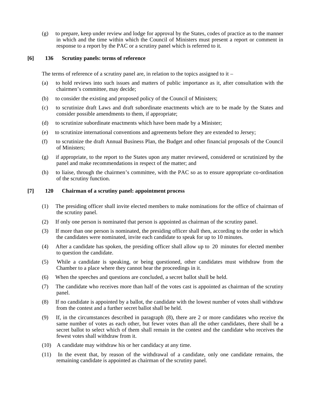(g) to prepare, keep under review and lodge for approval by the States, codes of practice as to the manner in which and the time within which the Council of Ministers must present a report or comment in response to a report by the PAC or a scrutiny panel which is referred to it.

# **[6] 136 Scrutiny panels: terms of reference**

The terms of reference of a scrutiny panel are, in relation to the topics assigned to it –

- (a) to hold reviews into such issues and matters of public importance as it, after consultation with the chairmen's committee, may decide;
- (b) to consider the existing and proposed policy of the Council of Ministers;
- (c) to scrutinize draft Laws and draft subordinate enactments which are to be made by the States and consider possible amendments to them, if appropriate;
- (d) to scrutinize subordinate enactments which have been made by a Minister;
- (e) to scrutinize international conventions and agreements before they are extended to Jersey;
- (f) to scrutinize the draft Annual Business Plan, the Budget and other financial proposals of the Council of Ministers;
- (g) if appropriate, to the report to the States upon any matter reviewed, considered or scrutinized by the panel and make recommendations in respect of the matter; and
- (h) to liaise, through the chairmen's committee, with the PAC so as to ensure appropriate co-ordination of the scrutiny function.

#### **[7] 120 Chairman of a scrutiny panel: appointment process**

- (1) The presiding officer shall invite elected members to make nominations for the office of chairman of the scrutiny panel.
- (2) If only one person is nominated that person is appointed as chairman of the scrutiny panel.
- (3) If more than one person is nominated, the presiding officer shall then, according to the order in which the candidates were nominated, invite each candidate to speak for up to 10 minutes.
- (4) After a candidate has spoken, the presiding officer shall allow up to 20 minutes for elected members to question the candidate.
- (5) While a candidate is speaking, or being questioned, other candidates must withdraw from the Chamber to a place where they cannot hear the proceedings in it.
- (6) When the speeches and questions are concluded, a secret ballot shall be held.
- (7) The candidate who receives more than half of the votes cast is appointed as chairman of the scrutiny panel.
- (8) If no candidate is appointed by a ballot, the candidate with the lowest number of votes shall withdraw from the contest and a further secret ballot shall be held.
- (9) If, in the circumstances described in paragraph (8), there are 2 or more candidates who receive the same number of votes as each other, but fewer votes than all the other candidates, there shall be a secret ballot to select which of them shall remain in the contest and the candidate who receives the fewest votes shall withdraw from it.
- (10) A candidate may withdraw his or her candidacy at any time.
- (11) In the event that, by reason of the withdrawal of a candidate, only one candidate remains, the remaining candidate is appointed as chairman of the scrutiny panel.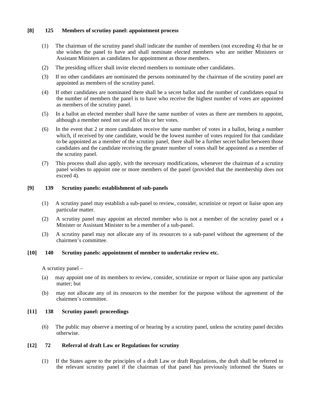# **[8] 125 Members of scrutiny panel: appointment process**

- (1) The chairman of the scrutiny panel shall indicate the number of members (not exceeding 4) that he or she wishes the panel to have and shall nominate elected members who are neither Ministers or Assistant Ministers as candidates for appointment as those members.
- (2) The presiding officer shall invite elected members to nominate other candidates.
- (3) If no other candidates are nominated the persons nominated by the chairman of the scrutiny panel are appointed as members of the scrutiny panel.
- (4) If other candidates are nominated there shall be a secret ballot and the number of candidates equal to the number of members the panel is to have who receive the highest number of votes are appointed as members of the scrutiny panel.
- (5) In a ballot an elected member shall have the same number of votes as there are members to appoint, although a member need not use all of his or her votes.
- (6) In the event that 2 or more candidates receive the same number of votes in a ballot, being a number which, if received by one candidate, would be the lowest number of votes required for that candidate to be appointed as a member of the scrutiny panel, there shall be a further secret ballot between those candidates and the candidate receiving the greater number of votes shall be appointed as a member of the scrutiny panel.
- (7) This process shall also apply, with the necessary modifications, whenever the chairman of a scrutiny panel wishes to appoint one or more members of the panel (provided that the membership does not exceed 4).

# **[9] 139 Scrutiny panels: establishment of sub-panels**

- (1) A scrutiny panel may establish a sub-panel to review, consider, scrutinize or report or liaise upon any particular matter.
- (2) A scrutiny panel may appoint an elected member who is not a member of the scrutiny panel or a Minister or Assistant Minister to be a member of a sub-panel.
- (3) A scrutiny panel may not allocate any of its resources to a sub-panel without the agreement of the chairmen's committee.

# **[10] 140 Scrutiny panels: appointment of member to undertake review etc.**

A scrutiny panel –

- (a) may appoint one of its members to review, consider, scrutinize or report or liaise upon any particular matter; but
- (b) may not allocate any of its resources to the member for the purpose without the agreement of the chairmen's committee.

# **[11] 138 Scrutiny panel: proceedings**

(6) The public may observe a meeting of or hearing by a scrutiny panel, unless the scrutiny panel decides otherwise.

# **[12] 72 Referral of draft Law or Regulations for scrutiny**

(1) If the States agree to the principles of a draft Law or draft Regulations, the draft shall be referred to the relevant scrutiny panel if the chairman of that panel has previously informed the States or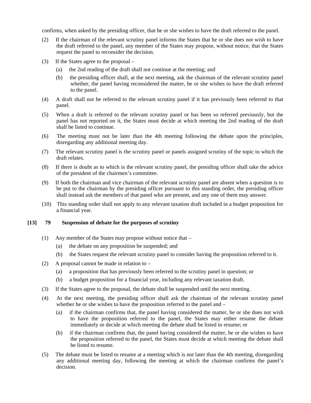confirms, when asked by the presiding officer, that he or she wishes to have the draft referred to the panel.

- (2) If the chairman of the relevant scrutiny panel informs the States that he or she does not wish to have the draft referred to the panel, any member of the States may propose, without notice, that the States request the panel to reconsider the decision.
- (3) If the States agree to the proposal
	- (a) the 2nd reading of the draft shall not continue at the meeting; and
	- (b) the presiding officer shall, at the next meeting, ask the chairman of the relevant scrutiny panel whether, the panel having reconsidered the matter, he or she wishes to have the draft referred to the panel.
- (4) A draft shall not be referred to the relevant scrutiny panel if it has previously been referred to that panel.
- (5) When a draft is referred to the relevant scrutiny panel or has been so referred previously, but the panel has not reported on it, the States must decide at which meeting the 2nd reading of the draft shall be listed to continue.
- (6) The meeting must not be later than the 4th meeting following the debate upon the principles, disregarding any additional meeting day.
- (7) The relevant scrutiny panel is the scrutiny panel or panels assigned scrutiny of the topic to which the draft relates.
- (8) If there is doubt as to which is the relevant scrutiny panel, the presiding officer shall take the advice of the president of the chairmen's committee.
- (9) If both the chairman and vice chairman of the relevant scrutiny panel are absent when a question is to be put to the chairman by the presiding officer pursuant to this standing order, the presiding officer shall instead ask the members of that panel who are present, and any one of them may answer.
- (10) This standing order shall not apply to any relevant taxation draft included in a budget proposition for a financial year.

#### **[13] 79 Suspension of debate for the purposes of scrutiny**

- (1) Any member of the States may propose without notice that
	- (a) the debate on any proposition be suspended; and
	- (b) the States request the relevant scrutiny panel to consider having the proposition referred to it.
- (2) A proposal cannot be made in relation to
	- (a) a proposition that has previously been referred to the scrutiny panel in question; or
	- (b) a budget proposition for a financial year, including any relevant taxation draft.
- (3) If the States agree to the proposal, the debate shall be suspended until the next meeting.
- (4) At the next meeting, the presiding officer shall ask the chairman of the relevant scrutiny panel whether he or she wishes to have the proposition referred to the panel and –
	- (a) if the chairman confirms that, the panel having considered the matter, he or she does not wish to have the proposition referred to the panel, the States may either resume the debate immediately or decide at which meeting the debate shall be listed to resume; or
	- (b) if the chairman confirms that, the panel having considered the matter, he or she wishes to have the proposition referred to the panel, the States must decide at which meeting the debate shall be listed to resume.
- (5) The debate must be listed to resume at a meeting which is not later than the 4th meeting, disregarding any additional meeting day, following the meeting at which the chairman confirms the panel's decision.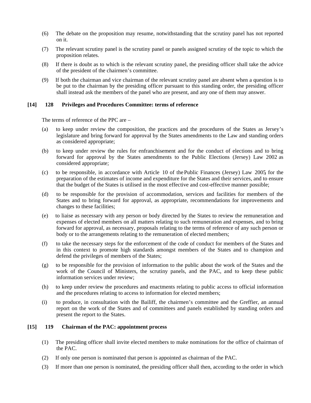- (6) The debate on the proposition may resume, notwithstanding that the scrutiny panel has not reported on it.
- (7) The relevant scrutiny panel is the scrutiny panel or panels assigned scrutiny of the topic to which the proposition relates.
- (8) If there is doubt as to which is the relevant scrutiny panel, the presiding officer shall take the advice of the president of the chairmen's committee.
- (9) If both the chairman and vice chairman of the relevant scrutiny panel are absent when a question is to be put to the chairman by the presiding officer pursuant to this standing order, the presiding officer shall instead ask the members of the panel who are present, and any one of them may answer.

#### **[14] 128 Privileges and Procedures Committee: terms of reference**

The terms of reference of the PPC are –

- (a) to keep under review the composition, the practices and the procedures of the States as Jersey's legislature and bring forward for approval by the States amendments to the Law and standing orders as considered appropriate;
- (b) to keep under review the rules for enfranchisement and for the conduct of elections and to bring forward for approval by the States amendments to the Public Elections (Jersey) Law 2002 as considered appropriate;
- (c) to be responsible, in accordance with Article 10 of thePublic Finances (Jersey) Law 2005, for the preparation of the estimates of income and expenditure for the States and their services, and to ensure that the budget of the States is utilised in the most effective and cost-effective manner possible;
- (d) to be responsible for the provision of accommodation, services and facilities for members of the States and to bring forward for approval, as appropriate, recommendations for improvements and changes to these facilities;
- (e) to liaise as necessary with any person or body directed by the States to review the remuneration and expenses of elected members on all matters relating to such remuneration and expenses, and to bring forward for approval, as necessary, proposals relating to the terms of reference of any such person or body or to the arrangements relating to the remuneration of elected members;
- (f) to take the necessary steps for the enforcement of the code of conduct for members of the States and in this context to promote high standards amongst members of the States and to champion and defend the privileges of members of the States;
- (g) to be responsible for the provision of information to the public about the work of the States and the work of the Council of Ministers, the scrutiny panels, and the PAC, and to keep these public information services under review;
- (h) to keep under review the procedures and enactments relating to public access to official information and the procedures relating to access to information for elected members;
- (i) to produce, in consultation with the Bailiff, the chairmen's committee and the Greffier, an annual report on the work of the States and of committees and panels established by standing orders and present the report to the States.

#### **[15] 119 Chairman of the PAC: appointment process**

- (1) The presiding officer shall invite elected members to make nominations for the office of chairman of the PAC.
- (2) If only one person is nominated that person is appointed as chairman of the PAC.
- (3) If more than one person is nominated, the presiding officer shall then, according to the order in which